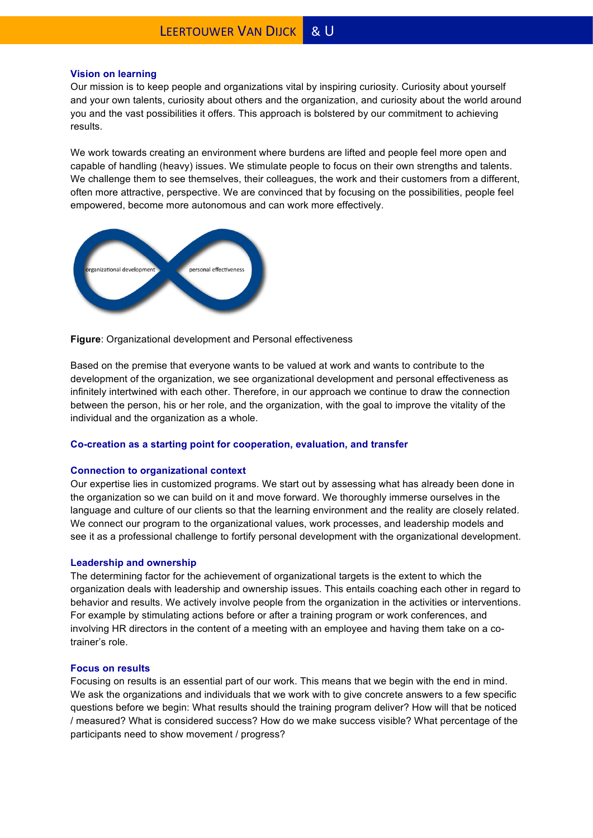## **Vision on learning**

Our mission is to keep people and organizations vital by inspiring curiosity. Curiosity about yourself and your own talents, curiosity about others and the organization, and curiosity about the world around you and the vast possibilities it offers. This approach is bolstered by our commitment to achieving results.

We work towards creating an environment where burdens are lifted and people feel more open and capable of handling (heavy) issues. We stimulate people to focus on their own strengths and talents. We challenge them to see themselves, their colleagues, the work and their customers from a different, often more attractive, perspective. We are convinced that by focusing on the possibilities, people feel empowered, become more autonomous and can work more effectively.



**Figure**: Organizational development and Personal effectiveness

Based on the premise that everyone wants to be valued at work and wants to contribute to the development of the organization, we see organizational development and personal effectiveness as infinitely intertwined with each other. Therefore, in our approach we continue to draw the connection between the person, his or her role, and the organization, with the goal to improve the vitality of the individual and the organization as a whole.

# **Co-creation as a starting point for cooperation, evaluation, and transfer**

## **Connection to organizational context**

Our expertise lies in customized programs. We start out by assessing what has already been done in the organization so we can build on it and move forward. We thoroughly immerse ourselves in the language and culture of our clients so that the learning environment and the reality are closely related. We connect our program to the organizational values, work processes, and leadership models and see it as a professional challenge to fortify personal development with the organizational development.

## **Leadership and ownership**

The determining factor for the achievement of organizational targets is the extent to which the organization deals with leadership and ownership issues. This entails coaching each other in regard to behavior and results. We actively involve people from the organization in the activities or interventions. For example by stimulating actions before or after a training program or work conferences, and involving HR directors in the content of a meeting with an employee and having them take on a cotrainer's role.

## **Focus on results**

Focusing on results is an essential part of our work. This means that we begin with the end in mind. We ask the organizations and individuals that we work with to give concrete answers to a few specific questions before we begin: What results should the training program deliver? How will that be noticed / measured? What is considered success? How do we make success visible? What percentage of the participants need to show movement / progress?